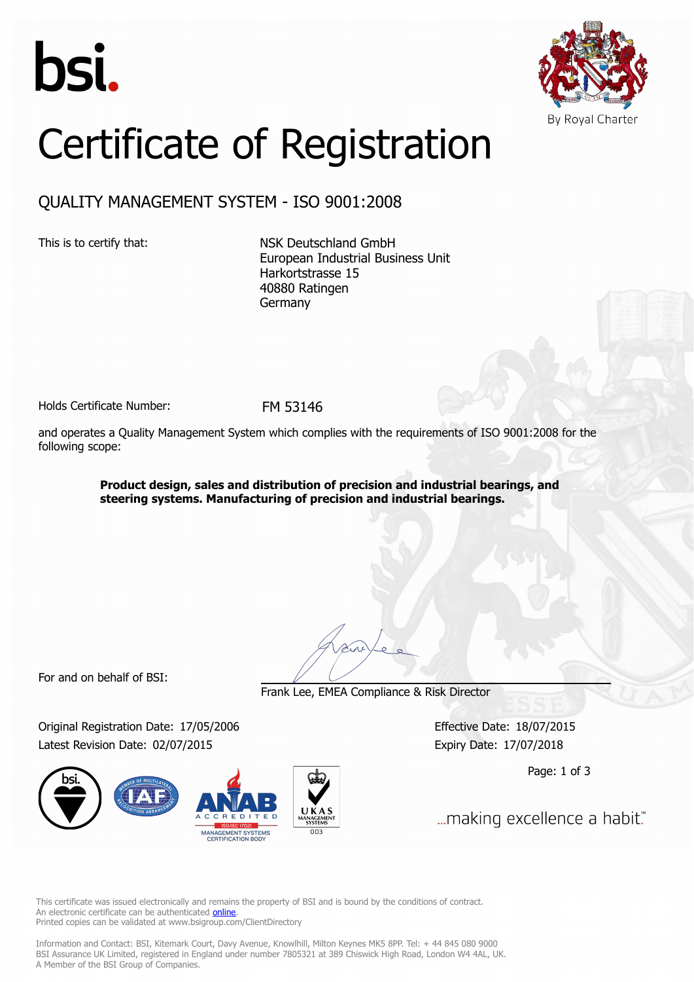



## Certificate of Registration

## QUALITY MANAGEMENT SYSTEM - ISO 9001:2008

This is to certify that: NSK Deutschland GmbH European Industrial Business Unit Harkortstrasse 15 40880 Ratingen Germany

Holds Certificate Number: FM 53146

and operates a Quality Management System which complies with the requirements of ISO 9001:2008 for the following scope:

> **Product design, sales and distribution of precision and industrial bearings, and steering systems. Manufacturing of precision and industrial bearings.**

For and on behalf of BSI:

Frank Lee, EMEA Compliance & Risk Director

Original Registration Date: 17/05/2006 Effective Date: 18/07/2015 Latest Revision Date: 02/07/2015 Expiry Date: 17/07/2018



Page: 1 of 3

... making excellence a habit."

This certificate was issued electronically and remains the property of BSI and is bound by the conditions of contract. An electronic certificate can be authenticated **[online](https://pgplus.bsigroup.com/CertificateValidation/CertificateValidator.aspx?CertificateNumber=FM+53146&ReIssueDate=02%2f07%2f2015&Template=uk)**. Printed copies can be validated at www.bsigroup.com/ClientDirectory

Information and Contact: BSI, Kitemark Court, Davy Avenue, Knowlhill, Milton Keynes MK5 8PP. Tel: + 44 845 080 9000 BSI Assurance UK Limited, registered in England under number 7805321 at 389 Chiswick High Road, London W4 4AL, UK. A Member of the BSI Group of Companies.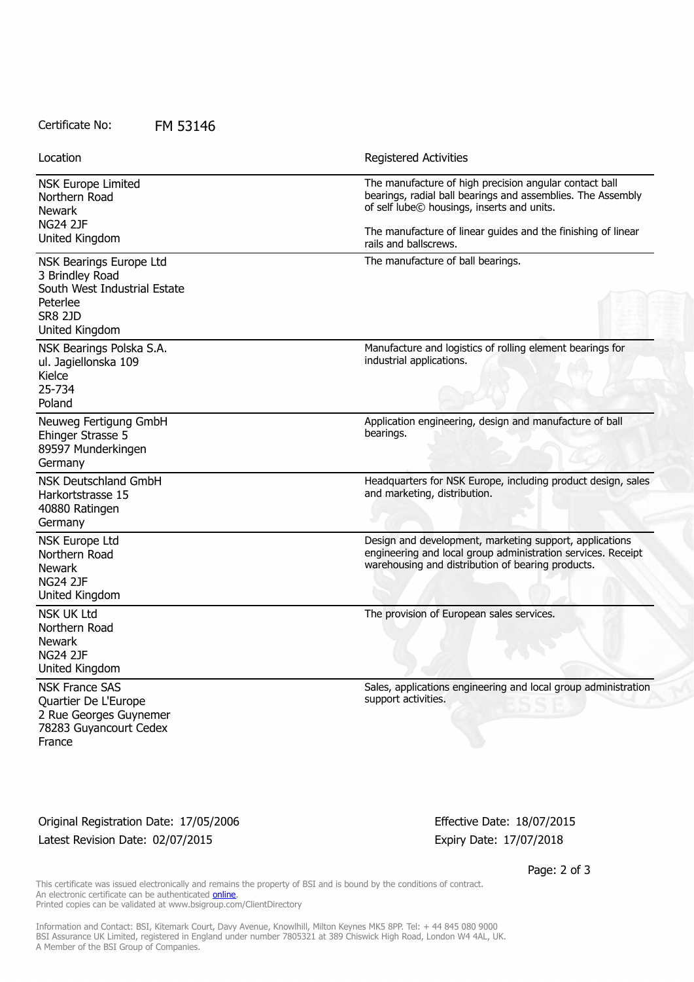Certificate No: FM 53146

NSK Europe Limited Northern Road Newark NG24 2JF United Kingdom The manufacture of high precision angular contact ball bearings, radial ball bearings and assemblies. The Assembly of self lube© housings, inserts and units. The manufacture of linear guides and the finishing of linear rails and ballscrews. NSK Bearings Europe Ltd 3 Brindley Road South West Industrial Estate Peterlee SR8 2JD United Kingdom The manufacture of ball bearings. NSK Bearings Polska S.A. ul. Jagiellonska 109 Kielce 25-734 Poland Manufacture and logistics of rolling element bearings for industrial applications. Neuweg Fertigung GmbH Ehinger Strasse 5 89597 Munderkingen Germany Application engineering, design and manufacture of ball bearings. NSK Deutschland GmbH Harkortstrasse 15 40880 Ratingen Germany Headquarters for NSK Europe, including product design, sales and marketing, distribution. NSK Europe Ltd Northern Road Newark NG24 2JF United Kingdom Design and development, marketing support, applications engineering and local group administration services. Receipt warehousing and distribution of bearing products. NSK UK Ltd Northern Road Newark NG24 2JF United Kingdom The provision of European sales services. NSK France SAS Quartier De L'Europe 2 Rue Georges Guynemer 78283 Guyancourt Cedex France Sales, applications engineering and local group administration support activities. Location **Exercise 2018 Location Registered Activities** 

Original Registration Date: 17/05/2006 Effective Date: 18/07/2015 Latest Revision Date: 02/07/2015 Expiry Date: 17/07/2018

Page: 2 of 3

This certificate was issued electronically and remains the property of BSI and is bound by the conditions of contract. An electronic certificate can be authenticated [online](https://pgplus.bsigroup.com/CertificateValidation/CertificateValidator.aspx?CertificateNumber=FM+53146&ReIssueDate=02%2f07%2f2015&Template=uk). Printed copies can be validated at www.bsigroup.com/ClientDirectory

Information and Contact: BSI, Kitemark Court, Davy Avenue, Knowlhill, Milton Keynes MK5 8PP. Tel: + 44 845 080 9000 BSI Assurance UK Limited, registered in England under number 7805321 at 389 Chiswick High Road, London W4 4AL, UK. A Member of the BSI Group of Companies.